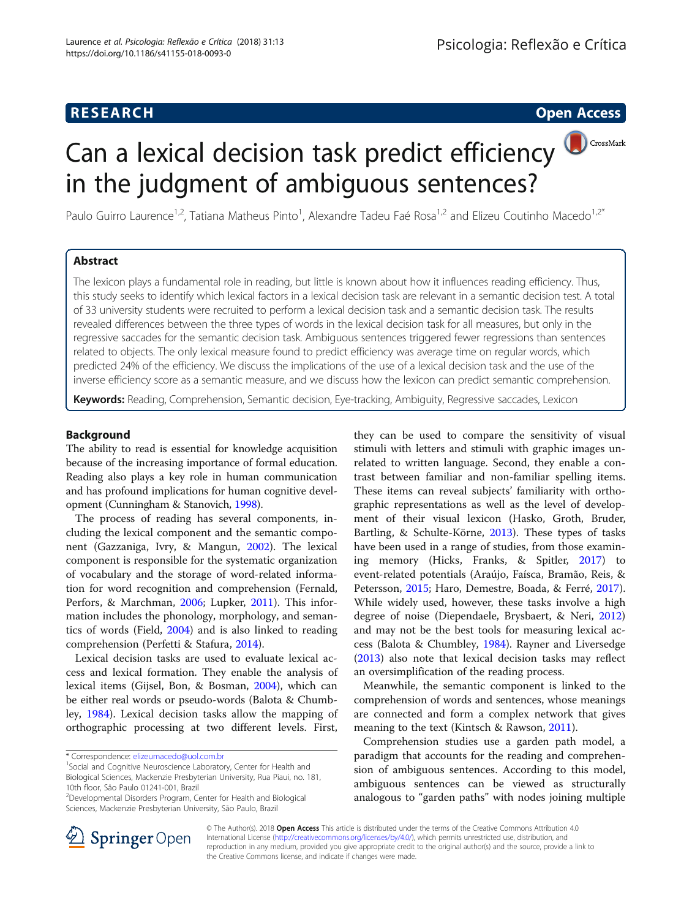# **RESEARCH CHE Open Access**

CrossMark

# Can a lexical decision task predict efficiency in the judgment of ambiguous sentences?

Paulo Guirro Laurence<sup>1,2</sup>, Tatiana Matheus Pinto<sup>1</sup>, Alexandre Tadeu Faé Rosa<sup>1,2</sup> and Elizeu Coutinho Macedo<sup>1,2\*</sup>

# Abstract

The lexicon plays a fundamental role in reading, but little is known about how it influences reading efficiency. Thus, this study seeks to identify which lexical factors in a lexical decision task are relevant in a semantic decision test. A total of 33 university students were recruited to perform a lexical decision task and a semantic decision task. The results revealed differences between the three types of words in the lexical decision task for all measures, but only in the regressive saccades for the semantic decision task. Ambiguous sentences triggered fewer regressions than sentences related to objects. The only lexical measure found to predict efficiency was average time on regular words, which predicted 24% of the efficiency. We discuss the implications of the use of a lexical decision task and the use of the inverse efficiency score as a semantic measure, and we discuss how the lexicon can predict semantic comprehension.

Keywords: Reading, Comprehension, Semantic decision, Eye-tracking, Ambiguity, Regressive saccades, Lexicon

# Background

The ability to read is essential for knowledge acquisition because of the increasing importance of formal education. Reading also plays a key role in human communication and has profound implications for human cognitive development (Cunningham & Stanovich, [1998](#page-8-0)).

The process of reading has several components, including the lexical component and the semantic component (Gazzaniga, Ivry, & Mangun, [2002](#page-8-0)). The lexical component is responsible for the systematic organization of vocabulary and the storage of word-related information for word recognition and comprehension (Fernald, Perfors, & Marchman, [2006;](#page-8-0) Lupker, [2011\)](#page-9-0). This information includes the phonology, morphology, and semantics of words (Field, [2004](#page-8-0)) and is also linked to reading comprehension (Perfetti & Stafura, [2014](#page-9-0)).

Lexical decision tasks are used to evaluate lexical access and lexical formation. They enable the analysis of lexical items (Gijsel, Bon, & Bosman, [2004](#page-8-0)), which can be either real words or pseudo-words (Balota & Chumbley, [1984](#page-8-0)). Lexical decision tasks allow the mapping of orthographic processing at two different levels. First,

they can be used to compare the sensitivity of visual stimuli with letters and stimuli with graphic images unrelated to written language. Second, they enable a contrast between familiar and non-familiar spelling items. These items can reveal subjects' familiarity with orthographic representations as well as the level of development of their visual lexicon (Hasko, Groth, Bruder, Bartling, & Schulte-Körne, [2013](#page-8-0)). These types of tasks have been used in a range of studies, from those examining memory (Hicks, Franks, & Spitler, [2017](#page-9-0)) to event-related potentials (Araújo, Faísca, Bramão, Reis, & Petersson, [2015](#page-8-0); Haro, Demestre, Boada, & Ferré, [2017](#page-8-0)). While widely used, however, these tasks involve a high degree of noise (Diependaele, Brysbaert, & Neri, [2012](#page-8-0)) and may not be the best tools for measuring lexical access (Balota & Chumbley, [1984\)](#page-8-0). Rayner and Liversedge ([2013\)](#page-9-0) also note that lexical decision tasks may reflect an oversimplification of the reading process.

Meanwhile, the semantic component is linked to the comprehension of words and sentences, whose meanings are connected and form a complex network that gives meaning to the text (Kintsch & Rawson, [2011](#page-9-0)).

Comprehension studies use a garden path model, a paradigm that accounts for the reading and comprehension of ambiguous sentences. According to this model, ambiguous sentences can be viewed as structurally analogous to "garden paths" with nodes joining multiple



© The Author(s). 2018 Open Access This article is distributed under the terms of the Creative Commons Attribution 4.0 International License ([http://creativecommons.org/licenses/by/4.0/\)](http://creativecommons.org/licenses/by/4.0/), which permits unrestricted use, distribution, and reproduction in any medium, provided you give appropriate credit to the original author(s) and the source, provide a link to the Creative Commons license, and indicate if changes were made.

<sup>\*</sup> Correspondence: [elizeumacedo@uol.com.br](mailto:elizeumacedo@uol.com.br) <sup>1</sup>

<sup>&</sup>lt;sup>1</sup> Social and Cognitive Neuroscience Laboratory, Center for Health and Biological Sciences, Mackenzie Presbyterian University, Rua Piaui, no. 181, 10th floor, São Paulo 01241-001, Brazil

<sup>&</sup>lt;sup>2</sup>Developmental Disorders Program, Center for Health and Biological Sciences, Mackenzie Presbyterian University, São Paulo, Brazil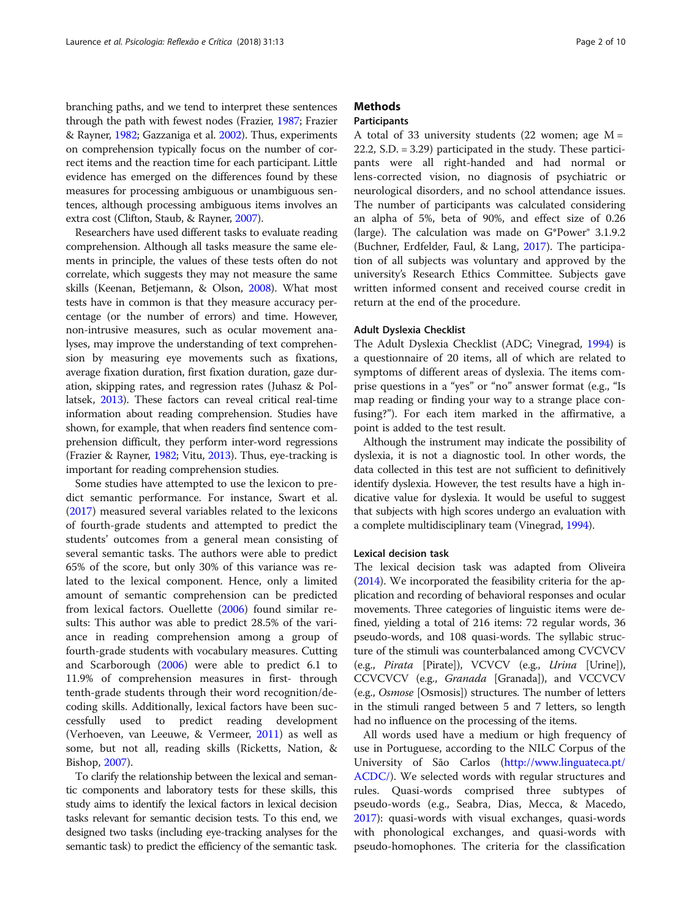branching paths, and we tend to interpret these sentences through the path with fewest nodes (Frazier, [1987;](#page-8-0) Frazier & Rayner, [1982;](#page-8-0) Gazzaniga et al. [2002\)](#page-8-0). Thus, experiments on comprehension typically focus on the number of correct items and the reaction time for each participant. Little evidence has emerged on the differences found by these measures for processing ambiguous or unambiguous sentences, although processing ambiguous items involves an extra cost (Clifton, Staub, & Rayner, [2007\)](#page-8-0).

Researchers have used different tasks to evaluate reading comprehension. Although all tasks measure the same elements in principle, the values of these tests often do not correlate, which suggests they may not measure the same skills (Keenan, Betjemann, & Olson, [2008](#page-9-0)). What most tests have in common is that they measure accuracy percentage (or the number of errors) and time. However, non-intrusive measures, such as ocular movement analyses, may improve the understanding of text comprehension by measuring eye movements such as fixations, average fixation duration, first fixation duration, gaze duration, skipping rates, and regression rates (Juhasz & Pollatsek, [2013\)](#page-9-0). These factors can reveal critical real-time information about reading comprehension. Studies have shown, for example, that when readers find sentence comprehension difficult, they perform inter-word regressions (Frazier & Rayner, [1982;](#page-8-0) Vitu, [2013\)](#page-9-0). Thus, eye-tracking is important for reading comprehension studies.

Some studies have attempted to use the lexicon to predict semantic performance. For instance, Swart et al. ([2017](#page-9-0)) measured several variables related to the lexicons of fourth-grade students and attempted to predict the students' outcomes from a general mean consisting of several semantic tasks. The authors were able to predict 65% of the score, but only 30% of this variance was related to the lexical component. Hence, only a limited amount of semantic comprehension can be predicted from lexical factors. Ouellette ([2006](#page-9-0)) found similar results: This author was able to predict 28.5% of the variance in reading comprehension among a group of fourth-grade students with vocabulary measures. Cutting and Scarborough ([2006](#page-8-0)) were able to predict 6.1 to 11.9% of comprehension measures in first- through tenth-grade students through their word recognition/decoding skills. Additionally, lexical factors have been successfully used to predict reading development (Verhoeven, van Leeuwe, & Vermeer, [2011\)](#page-9-0) as well as some, but not all, reading skills (Ricketts, Nation, & Bishop, [2007](#page-9-0)).

To clarify the relationship between the lexical and semantic components and laboratory tests for these skills, this study aims to identify the lexical factors in lexical decision tasks relevant for semantic decision tests. To this end, we designed two tasks (including eye-tracking analyses for the semantic task) to predict the efficiency of the semantic task.

# **Methods**

# Participants

A total of 33 university students (22 women; age  $M =$ 22.2, S.D. = 3.29) participated in the study. These participants were all right-handed and had normal or lens-corrected vision, no diagnosis of psychiatric or neurological disorders, and no school attendance issues. The number of participants was calculated considering an alpha of 5%, beta of 90%, and effect size of 0.26 (large). The calculation was made on G\*Power® 3.1.9.2 (Buchner, Erdfelder, Faul, & Lang, [2017](#page-8-0)). The participation of all subjects was voluntary and approved by the university's Research Ethics Committee. Subjects gave written informed consent and received course credit in return at the end of the procedure.

#### Adult Dyslexia Checklist

The Adult Dyslexia Checklist (ADC; Vinegrad, [1994](#page-9-0)) is a questionnaire of 20 items, all of which are related to symptoms of different areas of dyslexia. The items comprise questions in a "yes" or "no" answer format (e.g., "Is map reading or finding your way to a strange place confusing?"). For each item marked in the affirmative, a point is added to the test result.

Although the instrument may indicate the possibility of dyslexia, it is not a diagnostic tool. In other words, the data collected in this test are not sufficient to definitively identify dyslexia. However, the test results have a high indicative value for dyslexia. It would be useful to suggest that subjects with high scores undergo an evaluation with a complete multidisciplinary team (Vinegrad, [1994\)](#page-9-0).

## Lexical decision task

The lexical decision task was adapted from Oliveira ([2014](#page-9-0)). We incorporated the feasibility criteria for the application and recording of behavioral responses and ocular movements. Three categories of linguistic items were defined, yielding a total of 216 items: 72 regular words, 36 pseudo-words, and 108 quasi-words. The syllabic structure of the stimuli was counterbalanced among CVCVCV (e.g., Pirata [Pirate]), VCVCV (e.g., Urina [Urine]), CCVCVCV (e.g., Granada [Granada]), and VCCVCV (e.g., Osmose [Osmosis]) structures. The number of letters in the stimuli ranged between 5 and 7 letters, so length had no influence on the processing of the items.

All words used have a medium or high frequency of use in Portuguese, according to the NILC Corpus of the University of São Carlos [\(http://www.linguateca.pt/](http://www.linguateca.pt/ACDC) [ACDC/\)](http://www.linguateca.pt/ACDC). We selected words with regular structures and rules. Quasi-words comprised three subtypes of pseudo-words (e.g., Seabra, Dias, Mecca, & Macedo, [2017](#page-9-0)): quasi-words with visual exchanges, quasi-words with phonological exchanges, and quasi-words with pseudo-homophones. The criteria for the classification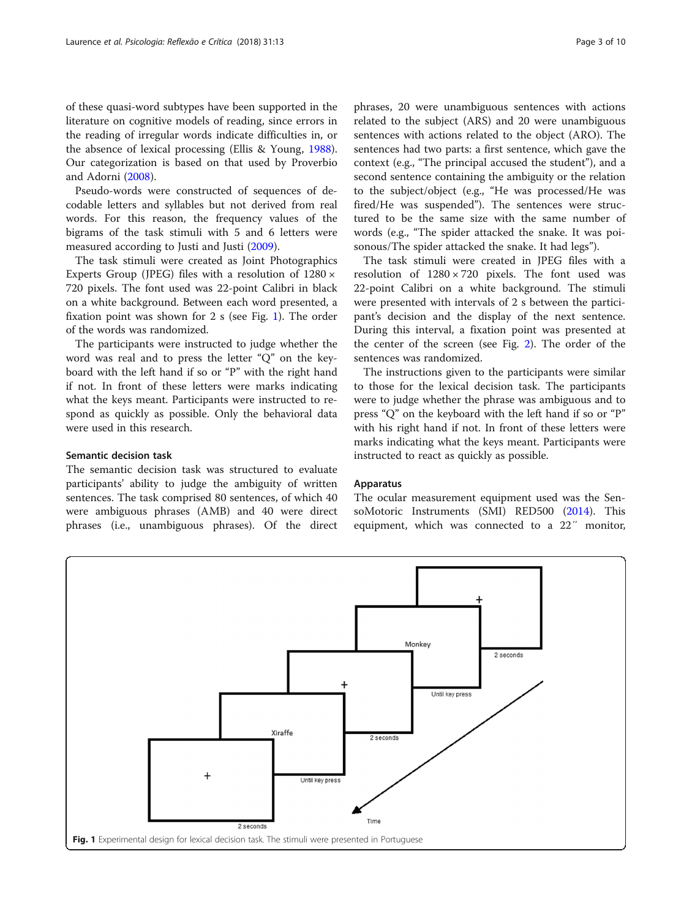of these quasi-word subtypes have been supported in the literature on cognitive models of reading, since errors in the reading of irregular words indicate difficulties in, or the absence of lexical processing (Ellis & Young, [1988](#page-8-0)). Our categorization is based on that used by Proverbio and Adorni ([2008](#page-9-0)).

Pseudo-words were constructed of sequences of decodable letters and syllables but not derived from real words. For this reason, the frequency values of the bigrams of the task stimuli with 5 and 6 letters were measured according to Justi and Justi ([2009\)](#page-9-0).

The task stimuli were created as Joint Photographics Experts Group (JPEG) files with a resolution of 1280 × 720 pixels. The font used was 22-point Calibri in black on a white background. Between each word presented, a fixation point was shown for 2 s (see Fig. 1). The order of the words was randomized.

The participants were instructed to judge whether the word was real and to press the letter "Q" on the keyboard with the left hand if so or "P" with the right hand if not. In front of these letters were marks indicating what the keys meant. Participants were instructed to respond as quickly as possible. Only the behavioral data were used in this research.

# Semantic decision task

The semantic decision task was structured to evaluate participants' ability to judge the ambiguity of written sentences. The task comprised 80 sentences, of which 40 were ambiguous phrases (AMB) and 40 were direct phrases (i.e., unambiguous phrases). Of the direct

phrases, 20 were unambiguous sentences with actions related to the subject (ARS) and 20 were unambiguous sentences with actions related to the object (ARO). The sentences had two parts: a first sentence, which gave the context (e.g., "The principal accused the student"), and a second sentence containing the ambiguity or the relation to the subject/object (e.g., "He was processed/He was fired/He was suspended"). The sentences were structured to be the same size with the same number of words (e.g., "The spider attacked the snake. It was poisonous/The spider attacked the snake. It had legs").

The task stimuli were created in JPEG files with a resolution of  $1280 \times 720$  pixels. The font used was 22-point Calibri on a white background. The stimuli were presented with intervals of 2 s between the participant's decision and the display of the next sentence. During this interval, a fixation point was presented at the center of the screen (see Fig. [2](#page-3-0)). The order of the sentences was randomized.

The instructions given to the participants were similar to those for the lexical decision task. The participants were to judge whether the phrase was ambiguous and to press "Q" on the keyboard with the left hand if so or "P" with his right hand if not. In front of these letters were marks indicating what the keys meant. Participants were instructed to react as quickly as possible.

# Apparatus

The ocular measurement equipment used was the Sen-soMotoric Instruments (SMI) RED500 ([2014](#page-9-0)). This equipment, which was connected to a 22″ monitor,

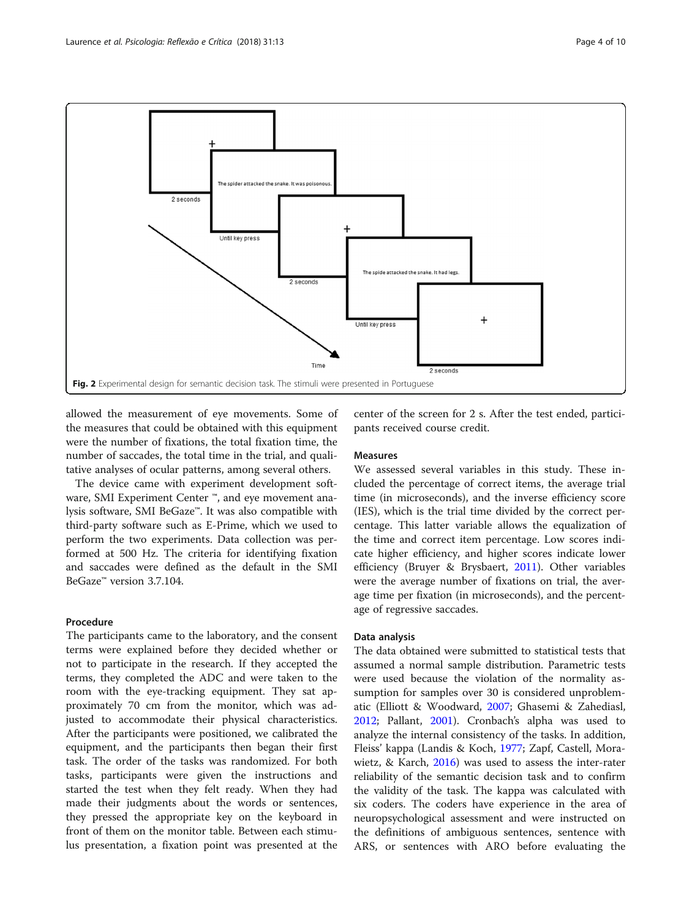<span id="page-3-0"></span>

allowed the measurement of eye movements. Some of the measures that could be obtained with this equipment were the number of fixations, the total fixation time, the number of saccades, the total time in the trial, and qualitative analyses of ocular patterns, among several others.

The device came with experiment development software, SMI Experiment Center ™, and eye movement analysis software, SMI BeGaze™. It was also compatible with third-party software such as E-Prime, which we used to perform the two experiments. Data collection was performed at 500 Hz. The criteria for identifying fixation and saccades were defined as the default in the SMI BeGaze™ version 3.7.104.

# Procedure

The participants came to the laboratory, and the consent terms were explained before they decided whether or not to participate in the research. If they accepted the terms, they completed the ADC and were taken to the room with the eye-tracking equipment. They sat approximately 70 cm from the monitor, which was adjusted to accommodate their physical characteristics. After the participants were positioned, we calibrated the equipment, and the participants then began their first task. The order of the tasks was randomized. For both tasks, participants were given the instructions and started the test when they felt ready. When they had made their judgments about the words or sentences, they pressed the appropriate key on the keyboard in front of them on the monitor table. Between each stimulus presentation, a fixation point was presented at the

center of the screen for 2 s. After the test ended, participants received course credit.

# Measures

We assessed several variables in this study. These included the percentage of correct items, the average trial time (in microseconds), and the inverse efficiency score (IES), which is the trial time divided by the correct percentage. This latter variable allows the equalization of the time and correct item percentage. Low scores indicate higher efficiency, and higher scores indicate lower efficiency (Bruyer & Brysbaert, [2011\)](#page-8-0). Other variables were the average number of fixations on trial, the average time per fixation (in microseconds), and the percentage of regressive saccades.

# Data analysis

The data obtained were submitted to statistical tests that assumed a normal sample distribution. Parametric tests were used because the violation of the normality assumption for samples over 30 is considered unproblematic (Elliott & Woodward, [2007;](#page-8-0) Ghasemi & Zahediasl, [2012](#page-8-0); Pallant, [2001](#page-9-0)). Cronbach's alpha was used to analyze the internal consistency of the tasks. In addition, Fleiss' kappa (Landis & Koch, [1977;](#page-9-0) Zapf, Castell, Morawietz, & Karch, [2016\)](#page-9-0) was used to assess the inter-rater reliability of the semantic decision task and to confirm the validity of the task. The kappa was calculated with six coders. The coders have experience in the area of neuropsychological assessment and were instructed on the definitions of ambiguous sentences, sentence with ARS, or sentences with ARO before evaluating the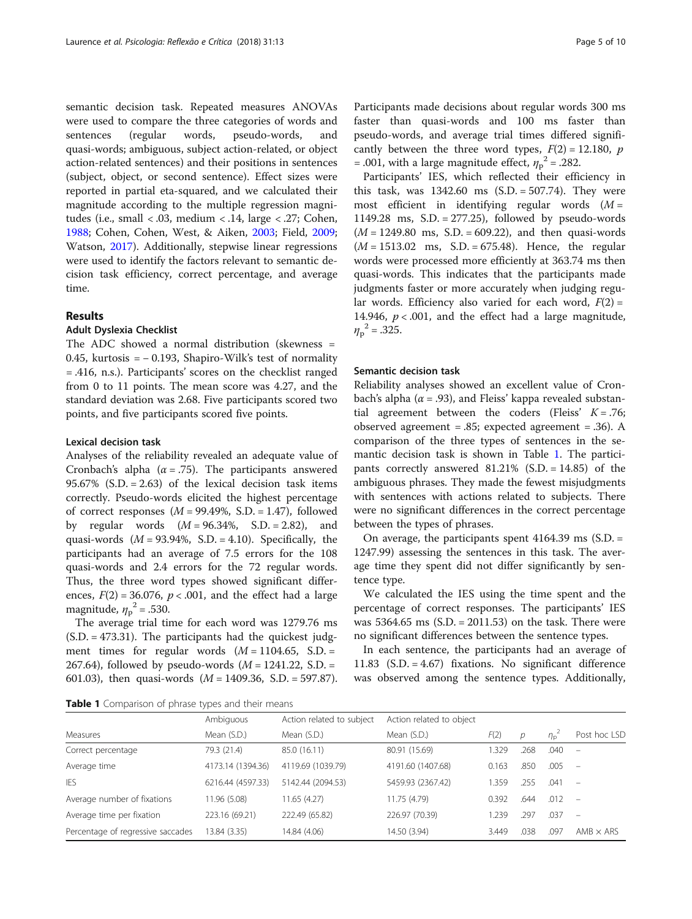semantic decision task. Repeated measures ANOVAs were used to compare the three categories of words and sentences (regular words, pseudo-words, and quasi-words; ambiguous, subject action-related, or object action-related sentences) and their positions in sentences (subject, object, or second sentence). Effect sizes were reported in partial eta-squared, and we calculated their magnitude according to the multiple regression magnitudes (i.e., small < .03, medium < .14, large < .27; Cohen, [1988](#page-8-0); Cohen, Cohen, West, & Aiken, [2003;](#page-8-0) Field, [2009](#page-8-0); Watson, [2017](#page-9-0)). Additionally, stepwise linear regressions were used to identify the factors relevant to semantic decision task efficiency, correct percentage, and average time.

## Results

# Adult Dyslexia Checklist

The ADC showed a normal distribution (skewness = 0.45, kurtosis =  $-$  0.193, Shapiro-Wilk's test of normality = .416, n.s.). Participants' scores on the checklist ranged from 0 to 11 points. The mean score was 4.27, and the standard deviation was 2.68. Five participants scored two points, and five participants scored five points.

## Lexical decision task

Analyses of the reliability revealed an adequate value of Cronbach's alpha ( $\alpha$  = .75). The participants answered 95.67% (S.D.  $= 2.63$ ) of the lexical decision task items correctly. Pseudo-words elicited the highest percentage of correct responses  $(M = 99.49\%, S.D. = 1.47)$ , followed by regular words  $(M = 96.34\%, S.D. = 2.82)$ , and quasi-words  $(M = 93.94\%, S.D. = 4.10)$ . Specifically, the participants had an average of 7.5 errors for the 108 quasi-words and 2.4 errors for the 72 regular words. Thus, the three word types showed significant differences,  $F(2) = 36.076$ ,  $p < .001$ , and the effect had a large magnitude,  $\eta_{\rm p}^{\;\;2}$  = .530.

The average trial time for each word was 1279.76 ms  $(S.D. = 473.31)$ . The participants had the quickest judgment times for regular words  $(M = 1104.65, S.D. =$ 267.64), followed by pseudo-words  $(M = 1241.22, S.D. =$ 601.03), then quasi-words  $(M = 1409.36, S.D. = 597.87)$ .

Participants made decisions about regular words 300 ms faster than quasi-words and 100 ms faster than pseudo-words, and average trial times differed significantly between the three word types,  $F(2) = 12.180$ , p = .001, with a large magnitude effect,  $\eta_p^2$  = .282.

Participants' IES, which reflected their efficiency in this task, was  $1342.60$  ms  $(S.D. = 507.74)$ . They were most efficient in identifying regular words  $(M =$ 1149.28 ms, S.D. = 277.25), followed by pseudo-words  $(M = 1249.80 \text{ ms}, S.D. = 609.22)$ , and then quasi-words  $(M = 1513.02 \text{ ms}, \text{ S.D.} = 675.48)$ . Hence, the regular words were processed more efficiently at 363.74 ms then quasi-words. This indicates that the participants made judgments faster or more accurately when judging regular words. Efficiency also varied for each word,  $F(2) =$ 14.946,  $p < .001$ , and the effect had a large magnitude,  $\eta_{\rm p}^{\;\;2} = .325.$ 

### Semantic decision task

Reliability analyses showed an excellent value of Cronbach's alpha ( $\alpha$  = .93), and Fleiss' kappa revealed substantial agreement between the coders (Fleiss'  $K = .76$ ; observed agreement = .85; expected agreement = .36). A comparison of the three types of sentences in the semantic decision task is shown in Table 1. The participants correctly answered 81.21% (S.D. = 14.85) of the ambiguous phrases. They made the fewest misjudgments with sentences with actions related to subjects. There were no significant differences in the correct percentage between the types of phrases.

On average, the participants spent 4164.39 ms (S.D. = 1247.99) assessing the sentences in this task. The average time they spent did not differ significantly by sentence type.

We calculated the IES using the time spent and the percentage of correct responses. The participants' IES was 5364.65 ms (S.D. = 2011.53) on the task. There were no significant differences between the sentence types.

In each sentence, the participants had an average of 11.83 (S.D. = 4.67) fixations. No significant difference was observed among the sentence types. Additionally,

Table 1 Comparison of phrase types and their means

| Ambiguous         | Action related to subject | Action related to object |       |               |                |                          |
|-------------------|---------------------------|--------------------------|-------|---------------|----------------|--------------------------|
| Mean (S.D.)       | Mean (S.D.)               | Mean (S.D.)              | F(2)  | $\mathcal{D}$ | $\eta_{\rm p}$ | Post hoc LSD             |
| 79.3 (21.4)       | 85.0 (16.11)              | 80.91 (15.69)            | 1.329 | .268          | .040           | $\overline{\phantom{m}}$ |
| 4173.14 (1394.36) | 4119.69 (1039.79)         | 4191.60 (1407.68)        | 0.163 | .850          | .005           | $\overline{\phantom{a}}$ |
| 6216.44 (4597.33) | 5142.44 (2094.53)         | 5459.93 (2367.42)        | 1.359 | .255          | .041           | $\sim$                   |
| 11.96 (5.08)      | 11.65 (4.27)              | 11.75 (4.79)             | 0.392 | .644          | .012           | $\overline{\phantom{a}}$ |
| 223.16 (69.21)    | 222.49 (65.82)            | 226.97 (70.39)           | 1.239 | .297          | .037           | $\overline{\phantom{m}}$ |
| 13.84 (3.35)      | 14.84 (4.06)              | 14.50 (3.94)             | 3.449 | .038          | .097           | $AMB \times ARS$         |
|                   |                           |                          |       |               |                |                          |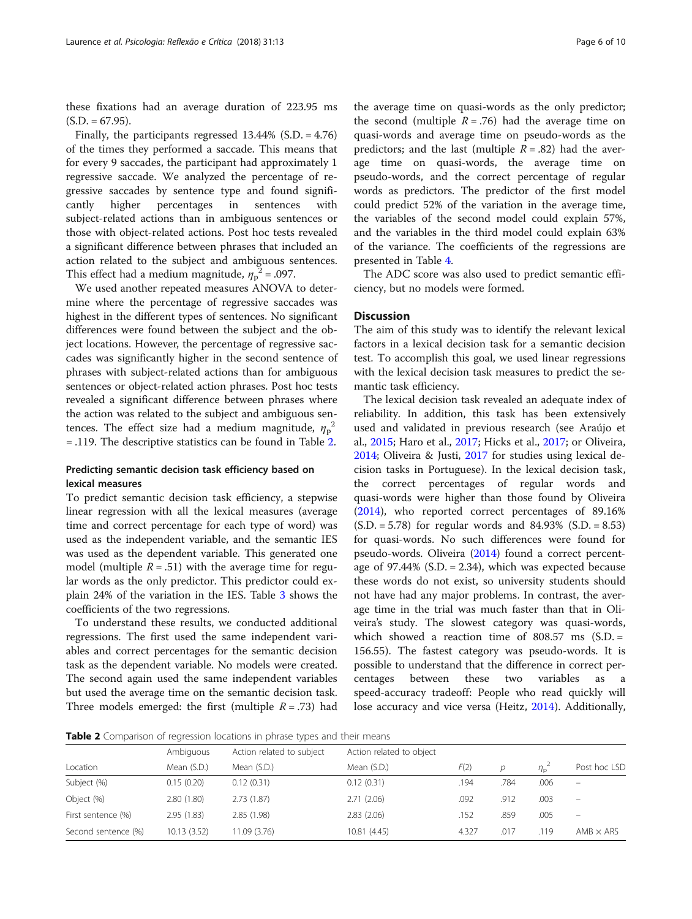these fixations had an average duration of 223.95 ms  $(S.D. = 67.95)$ .

Finally, the participants regressed 13.44% (S.D. = 4.76) of the times they performed a saccade. This means that for every 9 saccades, the participant had approximately 1 regressive saccade. We analyzed the percentage of regressive saccades by sentence type and found significantly higher percentages in sentences with subject-related actions than in ambiguous sentences or those with object-related actions. Post hoc tests revealed a significant difference between phrases that included an action related to the subject and ambiguous sentences. This effect had a medium magnitude,  $\eta_p^2$  = .097.

We used another repeated measures ANOVA to determine where the percentage of regressive saccades was highest in the different types of sentences. No significant differences were found between the subject and the object locations. However, the percentage of regressive saccades was significantly higher in the second sentence of phrases with subject-related actions than for ambiguous sentences or object-related action phrases. Post hoc tests revealed a significant difference between phrases where the action was related to the subject and ambiguous sentences. The effect size had a medium magnitude,  $\eta_p^{-2}$ = .119. The descriptive statistics can be found in Table 2.

# Predicting semantic decision task efficiency based on lexical measures

To predict semantic decision task efficiency, a stepwise linear regression with all the lexical measures (average time and correct percentage for each type of word) was used as the independent variable, and the semantic IES was used as the dependent variable. This generated one model (multiple  $R = .51$ ) with the average time for regular words as the only predictor. This predictor could explain 24% of the variation in the IES. Table [3](#page-6-0) shows the coefficients of the two regressions.

To understand these results, we conducted additional regressions. The first used the same independent variables and correct percentages for the semantic decision task as the dependent variable. No models were created. The second again used the same independent variables but used the average time on the semantic decision task. Three models emerged: the first (multiple  $R = .73$ ) had the average time on quasi-words as the only predictor; the second (multiple  $R = .76$ ) had the average time on quasi-words and average time on pseudo-words as the predictors; and the last (multiple  $R = .82$ ) had the average time on quasi-words, the average time on pseudo-words, and the correct percentage of regular words as predictors. The predictor of the first model could predict 52% of the variation in the average time, the variables of the second model could explain 57%, and the variables in the third model could explain 63% of the variance. The coefficients of the regressions are presented in Table [4](#page-6-0).

The ADC score was also used to predict semantic efficiency, but no models were formed.

# **Discussion**

The aim of this study was to identify the relevant lexical factors in a lexical decision task for a semantic decision test. To accomplish this goal, we used linear regressions with the lexical decision task measures to predict the semantic task efficiency.

The lexical decision task revealed an adequate index of reliability. In addition, this task has been extensively used and validated in previous research (see Araújo et al., [2015;](#page-8-0) Haro et al., [2017;](#page-8-0) Hicks et al., [2017](#page-9-0); or Oliveira, [2014](#page-9-0); Oliveira & Justi, [2017](#page-9-0) for studies using lexical decision tasks in Portuguese). In the lexical decision task, the correct percentages of regular words and quasi-words were higher than those found by Oliveira ([2014\)](#page-9-0), who reported correct percentages of 89.16%  $(S.D. = 5.78)$  for regular words and 84.93%  $(S.D. = 8.53)$ for quasi-words. No such differences were found for pseudo-words. Oliveira ([2014\)](#page-9-0) found a correct percentage of  $97.44\%$  (S.D. = 2.34), which was expected because these words do not exist, so university students should not have had any major problems. In contrast, the average time in the trial was much faster than that in Oliveira's study. The slowest category was quasi-words, which showed a reaction time of 808.57 ms (S.D. = 156.55). The fastest category was pseudo-words. It is possible to understand that the difference in correct percentages between these two variables as speed-accuracy tradeoff: People who read quickly will lose accuracy and vice versa (Heitz, [2014](#page-9-0)). Additionally,

Table 2 Comparison of regression locations in phrase types and their means

|                     | Ambiguous   | Action related to subject | Action related to object |       |               |                |                          |
|---------------------|-------------|---------------------------|--------------------------|-------|---------------|----------------|--------------------------|
| Location            | Mean (S.D.) | Mean (S.D.)               | Mean (S.D.)              | F(2)  | $\mathcal{D}$ | $\eta_{\rm p}$ | Post hoc LSD             |
| Subject (%)         | 0.15(0.20)  | 0.12(0.31)                | 0.12(0.31)               | .194  | .784          | .006           | $\qquad \qquad -$        |
| Object (%)          | 2.80(1.80)  | 2.73(1.87)                | 2.71(2.06)               | .092  | .912          | .003           | $\overline{\phantom{m}}$ |
| First sentence (%)  | 2.95(1.83)  | 2.85(1.98)                | 2.83(2.06)               | .152  | .859          | .005           | $\qquad \qquad =$        |
| Second sentence (%) | 10.13(3.52) | 11.09 (3.76)              | 10.81 (4.45)             | 4.327 | .017          | .119           | AMB $\times$ ARS         |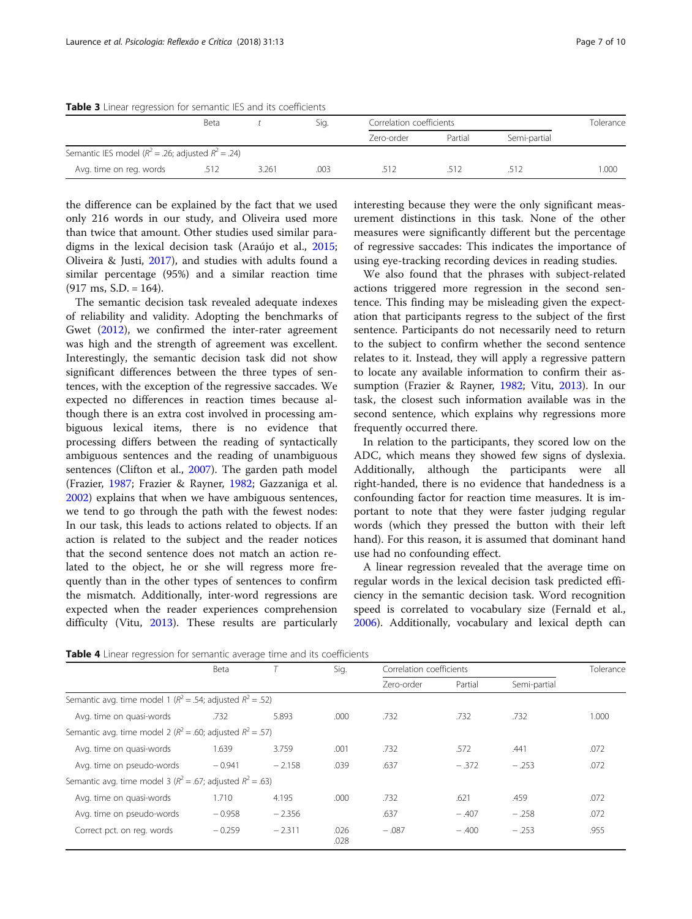| $\tilde{\phantom{a}}$                                   | Beta |       | Sig.       | Correlation coefficients |              |      | Tolerance |
|---------------------------------------------------------|------|-------|------------|--------------------------|--------------|------|-----------|
|                                                         |      |       | Zero-order | Partial                  | Semi-partial |      |           |
| Semantic IES model ( $R^2$ = .26; adjusted $R^2$ = .24) |      |       |            |                          |              |      |           |
| Avg. time on reg. words                                 |      | 3.261 | .003       |                          |              | .512 | .000      |

<span id="page-6-0"></span>Table 3 Linear regression for semantic IES and its coefficients

the difference can be explained by the fact that we used only 216 words in our study, and Oliveira used more than twice that amount. Other studies used similar paradigms in the lexical decision task (Araújo et al., [2015](#page-8-0); Oliveira & Justi, [2017\)](#page-9-0), and studies with adults found a similar percentage (95%) and a similar reaction time  $(917 \text{ ms}, S.D. = 164)$ .

The semantic decision task revealed adequate indexes of reliability and validity. Adopting the benchmarks of Gwet [\(2012\)](#page-8-0), we confirmed the inter-rater agreement was high and the strength of agreement was excellent. Interestingly, the semantic decision task did not show significant differences between the three types of sentences, with the exception of the regressive saccades. We expected no differences in reaction times because although there is an extra cost involved in processing ambiguous lexical items, there is no evidence that processing differs between the reading of syntactically ambiguous sentences and the reading of unambiguous sentences (Clifton et al., [2007\)](#page-8-0). The garden path model (Frazier, [1987](#page-8-0); Frazier & Rayner, [1982](#page-8-0); Gazzaniga et al. [2002](#page-8-0)) explains that when we have ambiguous sentences, we tend to go through the path with the fewest nodes: In our task, this leads to actions related to objects. If an action is related to the subject and the reader notices that the second sentence does not match an action related to the object, he or she will regress more frequently than in the other types of sentences to confirm the mismatch. Additionally, inter-word regressions are expected when the reader experiences comprehension difficulty (Vitu, [2013\)](#page-9-0). These results are particularly

interesting because they were the only significant measurement distinctions in this task. None of the other measures were significantly different but the percentage of regressive saccades: This indicates the importance of using eye-tracking recording devices in reading studies.

We also found that the phrases with subject-related actions triggered more regression in the second sentence. This finding may be misleading given the expectation that participants regress to the subject of the first sentence. Participants do not necessarily need to return to the subject to confirm whether the second sentence relates to it. Instead, they will apply a regressive pattern to locate any available information to confirm their assumption (Frazier & Rayner, [1982](#page-8-0); Vitu, [2013](#page-9-0)). In our task, the closest such information available was in the second sentence, which explains why regressions more frequently occurred there.

In relation to the participants, they scored low on the ADC, which means they showed few signs of dyslexia. Additionally, although the participants were all right-handed, there is no evidence that handedness is a confounding factor for reaction time measures. It is important to note that they were faster judging regular words (which they pressed the button with their left hand). For this reason, it is assumed that dominant hand use had no confounding effect.

A linear regression revealed that the average time on regular words in the lexical decision task predicted efficiency in the semantic decision task. Word recognition speed is correlated to vocabulary size (Fernald et al., [2006](#page-8-0)). Additionally, vocabulary and lexical depth can

Table 4 Linear regression for semantic average time and its coefficients

|                                                                 | Beta     |          | Sig.         | Correlation coefficients |         |              | Tolerance |  |
|-----------------------------------------------------------------|----------|----------|--------------|--------------------------|---------|--------------|-----------|--|
|                                                                 |          |          |              | Zero-order               | Partial | Semi-partial |           |  |
| Semantic avg. time model 1 ( $R^2$ = .54; adjusted $R^2$ = .52) |          |          |              |                          |         |              |           |  |
| Avg. time on quasi-words                                        | .732     | 5.893    | .000         | .732                     | .732    | .732         | 1.000     |  |
| Semantic avg. time model 2 ( $R^2$ = .60; adjusted $R^2$ = .57) |          |          |              |                          |         |              |           |  |
| Avg. time on quasi-words                                        | 1.639    | 3.759    | .001         | .732                     | .572    | .441         | .072      |  |
| Avg. time on pseudo-words                                       | $-0.941$ | $-2.158$ | .039         | .637                     | $-.372$ | $-.253$      | .072      |  |
| Semantic avg. time model 3 ( $R^2$ = .67; adjusted $R^2$ = .63) |          |          |              |                          |         |              |           |  |
| Avg. time on quasi-words                                        | 1.710    | 4.195    | .000         | .732                     | .621    | .459         | .072      |  |
| Avg. time on pseudo-words                                       | $-0.958$ | $-2.356$ |              | .637                     | $-.407$ | $-.258$      | .072      |  |
| Correct pct. on reg. words                                      | $-0.259$ | $-2.311$ | .026<br>.028 | $-.087$                  | $-.400$ | $-.253$      | .955      |  |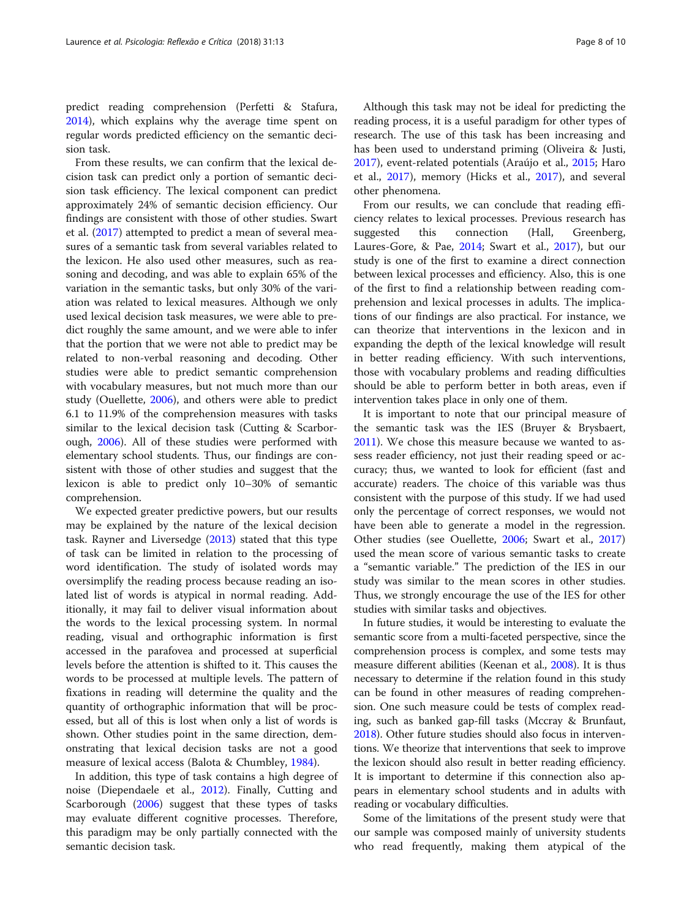predict reading comprehension (Perfetti & Stafura, [2014](#page-9-0)), which explains why the average time spent on regular words predicted efficiency on the semantic decision task.

From these results, we can confirm that the lexical decision task can predict only a portion of semantic decision task efficiency. The lexical component can predict approximately 24% of semantic decision efficiency. Our findings are consistent with those of other studies. Swart et al. [\(2017](#page-9-0)) attempted to predict a mean of several measures of a semantic task from several variables related to the lexicon. He also used other measures, such as reasoning and decoding, and was able to explain 65% of the variation in the semantic tasks, but only 30% of the variation was related to lexical measures. Although we only used lexical decision task measures, we were able to predict roughly the same amount, and we were able to infer that the portion that we were not able to predict may be related to non-verbal reasoning and decoding. Other studies were able to predict semantic comprehension with vocabulary measures, but not much more than our study (Ouellette, [2006\)](#page-9-0), and others were able to predict 6.1 to 11.9% of the comprehension measures with tasks similar to the lexical decision task (Cutting & Scarborough, [2006\)](#page-8-0). All of these studies were performed with elementary school students. Thus, our findings are consistent with those of other studies and suggest that the lexicon is able to predict only 10–30% of semantic comprehension.

We expected greater predictive powers, but our results may be explained by the nature of the lexical decision task. Rayner and Liversedge [\(2013\)](#page-9-0) stated that this type of task can be limited in relation to the processing of word identification. The study of isolated words may oversimplify the reading process because reading an isolated list of words is atypical in normal reading. Additionally, it may fail to deliver visual information about the words to the lexical processing system. In normal reading, visual and orthographic information is first accessed in the parafovea and processed at superficial levels before the attention is shifted to it. This causes the words to be processed at multiple levels. The pattern of fixations in reading will determine the quality and the quantity of orthographic information that will be processed, but all of this is lost when only a list of words is shown. Other studies point in the same direction, demonstrating that lexical decision tasks are not a good measure of lexical access (Balota & Chumbley, [1984\)](#page-8-0).

In addition, this type of task contains a high degree of noise (Diependaele et al., [2012\)](#page-8-0). Finally, Cutting and Scarborough [\(2006](#page-8-0)) suggest that these types of tasks may evaluate different cognitive processes. Therefore, this paradigm may be only partially connected with the semantic decision task.

Although this task may not be ideal for predicting the reading process, it is a useful paradigm for other types of research. The use of this task has been increasing and has been used to understand priming (Oliveira & Justi, [2017](#page-9-0)), event-related potentials (Araújo et al., [2015](#page-8-0); Haro et al., [2017\)](#page-8-0), memory (Hicks et al., [2017\)](#page-9-0), and several other phenomena.

From our results, we can conclude that reading efficiency relates to lexical processes. Previous research has suggested this connection (Hall, Greenberg, Laures-Gore, & Pae, [2014;](#page-8-0) Swart et al., [2017\)](#page-9-0), but our study is one of the first to examine a direct connection between lexical processes and efficiency. Also, this is one of the first to find a relationship between reading comprehension and lexical processes in adults. The implications of our findings are also practical. For instance, we can theorize that interventions in the lexicon and in expanding the depth of the lexical knowledge will result in better reading efficiency. With such interventions, those with vocabulary problems and reading difficulties should be able to perform better in both areas, even if intervention takes place in only one of them.

It is important to note that our principal measure of the semantic task was the IES (Bruyer & Brysbaert, [2011](#page-8-0)). We chose this measure because we wanted to assess reader efficiency, not just their reading speed or accuracy; thus, we wanted to look for efficient (fast and accurate) readers. The choice of this variable was thus consistent with the purpose of this study. If we had used only the percentage of correct responses, we would not have been able to generate a model in the regression. Other studies (see Ouellette, [2006](#page-9-0); Swart et al., [2017](#page-9-0)) used the mean score of various semantic tasks to create a "semantic variable." The prediction of the IES in our study was similar to the mean scores in other studies. Thus, we strongly encourage the use of the IES for other studies with similar tasks and objectives.

In future studies, it would be interesting to evaluate the semantic score from a multi-faceted perspective, since the comprehension process is complex, and some tests may measure different abilities (Keenan et al., [2008](#page-9-0)). It is thus necessary to determine if the relation found in this study can be found in other measures of reading comprehension. One such measure could be tests of complex reading, such as banked gap-fill tasks (Mccray & Brunfaut, [2018\)](#page-9-0). Other future studies should also focus in interventions. We theorize that interventions that seek to improve the lexicon should also result in better reading efficiency. It is important to determine if this connection also appears in elementary school students and in adults with reading or vocabulary difficulties.

Some of the limitations of the present study were that our sample was composed mainly of university students who read frequently, making them atypical of the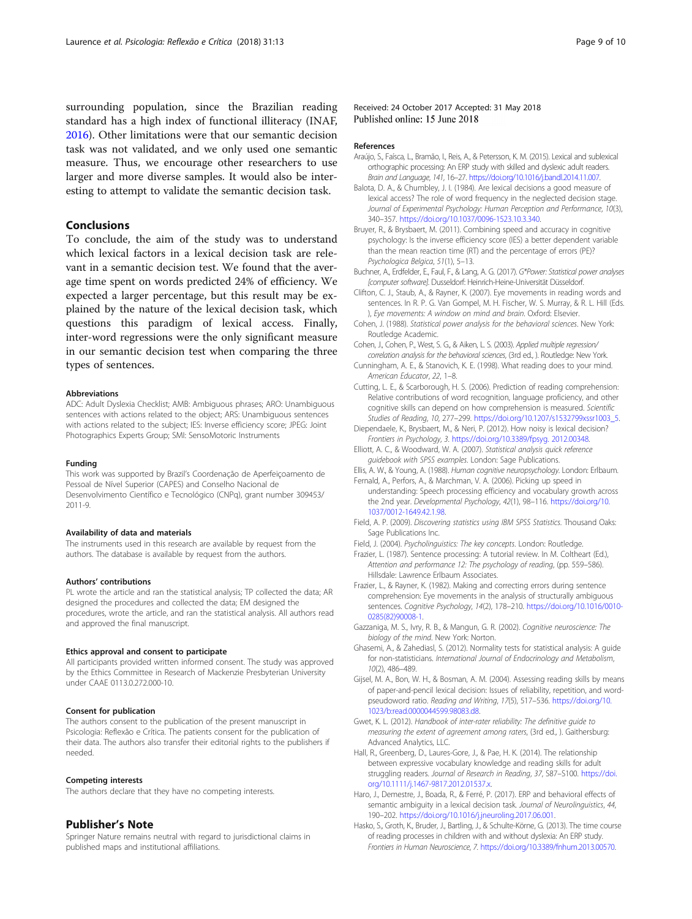<span id="page-8-0"></span>surrounding population, since the Brazilian reading standard has a high index of functional illiteracy (INAF, [2016](#page-9-0)). Other limitations were that our semantic decision task was not validated, and we only used one semantic measure. Thus, we encourage other researchers to use larger and more diverse samples. It would also be interesting to attempt to validate the semantic decision task.

# Conclusions

To conclude, the aim of the study was to understand which lexical factors in a lexical decision task are relevant in a semantic decision test. We found that the average time spent on words predicted 24% of efficiency. We expected a larger percentage, but this result may be explained by the nature of the lexical decision task, which questions this paradigm of lexical access. Finally, inter-word regressions were the only significant measure in our semantic decision test when comparing the three types of sentences.

#### Abbreviations

ADC: Adult Dyslexia Checklist; AMB: Ambiguous phrases; ARO: Unambiguous sentences with actions related to the object; ARS: Unambiguous sentences with actions related to the subject; IES: Inverse efficiency score; JPEG: Joint Photographics Experts Group; SMI: SensoMotoric Instruments

#### Funding

This work was supported by Brazil's Coordenação de Aperfeiçoamento de Pessoal de Nível Superior (CAPES) and Conselho Nacional de Desenvolvimento Científico e Tecnológico (CNPq), grant number 309453/ 2011-9.

#### Availability of data and materials

The instruments used in this research are available by request from the authors. The database is available by request from the authors.

#### Authors' contributions

PL wrote the article and ran the statistical analysis; TP collected the data; AR designed the procedures and collected the data; EM designed the procedures, wrote the article, and ran the statistical analysis. All authors read and approved the final manuscript.

#### Ethics approval and consent to participate

All participants provided written informed consent. The study was approved by the Ethics Committee in Research of Mackenzie Presbyterian University under CAAE 0113.0.272.000-10.

#### Consent for publication

The authors consent to the publication of the present manuscript in Psicologia: Reflexão e Crítica. The patients consent for the publication of their data. The authors also transfer their editorial rights to the publishers if needed.

#### Competing interests

The authors declare that they have no competing interests.

#### Publisher's Note

Springer Nature remains neutral with regard to jurisdictional claims in published maps and institutional affiliations.

Received: 24 October 2017 Accepted: 31 May 2018 Published online: 15 June 2018

#### References

- Araújo, S., Faísca, L., Bramão, I., Reis, A., & Petersson, K. M. (2015). Lexical and sublexical orthographic processing: An ERP study with skilled and dyslexic adult readers. Brain and Language, 141, 16–27. [https://doi.org/10.1016/j.bandl.2014.11.007.](https://doi.org/10.1016/j.bandl.2014.11.007)
- Balota, D. A., & Chumbley, J. I. (1984). Are lexical decisions a good measure of lexical access? The role of word frequency in the neglected decision stage. Journal of Experimental Psychology: Human Perception and Performance, 10(3), 340–357. [https://doi.org/10.1037/0096-1523.10.3.340.](https://doi.org/10.1037/0096-1523.10.3.340)
- Bruyer, R., & Brysbaert, M. (2011). Combining speed and accuracy in cognitive psychology: Is the inverse efficiency score (IES) a better dependent variable than the mean reaction time (RT) and the percentage of errors (PE)? Psychologica Belgica, 51(1), 5–13.
- Buchner, A., Erdfelder, E., Faul, F., & Lang, A. G. (2017). G\*Power: Statistical power analyses [computer software]. Dusseldorf: Heinrich-Heine-Universität Düsseldorf.
- Clifton, C. J., Staub, A., & Rayner, K. (2007). Eye movements in reading words and sentences. In R. P. G. Van Gompel, M. H. Fischer, W. S. Murray, & R. L. Hill (Eds. ), Eye movements: A window on mind and brain. Oxford: Elsevier.
- Cohen, J. (1988). Statistical power analysis for the behavioral sciences. New York: Routledge Academic.
- Cohen, J., Cohen, P., West, S. G., & Aiken, L. S. (2003). Applied multiple regression/ correlation analysis for the behavioral sciences, (3rd ed., ). Routledge: New York.
- Cunningham, A. E., & Stanovich, K. E. (1998). What reading does to your mind. American Educator, 22, 1–8.
- Cutting, L. E., & Scarborough, H. S. (2006). Prediction of reading comprehension: Relative contributions of word recognition, language proficiency, and other cognitive skills can depend on how comprehension is measured. Scientific Studies of Reading, 10, 277–299. [https://doi.org/10.1207/s1532799xssr1003\\_5.](https://doi.org/10.1207/s1532799xssr1003_5)
- Diependaele, K., Brysbaert, M., & Neri, P. (2012). How noisy is lexical decision? Frontiers in Psychology, 3. [https://doi.org/10.3389/fpsyg. 2012.00348.](https://doi.org/10.3389/fpsyg. 2012.00348)
- Elliott, A. C., & Woodward, W. A. (2007). Statistical analysis quick reference guidebook with SPSS examples. London: Sage Publications.
- Ellis, A. W., & Young, A. (1988). Human cognitive neuropsychology. London: Erlbaum. Fernald, A., Perfors, A., & Marchman, V. A. (2006). Picking up speed in
- understanding: Speech processing efficiency and vocabulary growth across the 2nd year. Developmental Psychology, 42(1), 98-116. [https://doi.org/10.](https://doi.org/10.1037/0012-1649.42.1.98) [1037/0012-1649.42.1.98.](https://doi.org/10.1037/0012-1649.42.1.98)
- Field, A. P. (2009). Discovering statistics using IBM SPSS Statistics. Thousand Oaks: Sage Publications Inc.
- Field, J. (2004). Psycholinguistics: The key concepts. London: Routledge.
- Frazier, L. (1987). Sentence processing: A tutorial review. In M. Coltheart (Ed.), Attention and performance 12: The psychology of reading, (pp. 559–586). Hillsdale: Lawrence Erlbaum Associates.
- Frazier, L., & Rayner, K. (1982). Making and correcting errors during sentence comprehension: Eye movements in the analysis of structurally ambiguous sentences. Cognitive Psychology, 14(2), 178–210. [https://doi.org/10.1016/0010-](https://doi.org/10.1016/0010-0285(82)90008-1) [0285\(82\)90008-1](https://doi.org/10.1016/0010-0285(82)90008-1).
- Gazzaniga, M. S., Ivry, R. B., & Mangun, G. R. (2002). Cognitive neuroscience: The biology of the mind. New York: Norton.
- Ghasemi, A., & Zahediasl, S. (2012). Normality tests for statistical analysis: A guide for non-statisticians. International Journal of Endocrinology and Metabolism, 10(2), 486–489.
- Gijsel, M. A., Bon, W. H., & Bosman, A. M. (2004). Assessing reading skills by means of paper-and-pencil lexical decision: Issues of reliability, repetition, and wordpseudoword ratio. Reading and Writing, 17(5), 517–536. [https://doi.org/10.](https://doi.org/10.1023/b:read.0000044599.98083.d8) [1023/b:read.0000044599.98083.d8](https://doi.org/10.1023/b:read.0000044599.98083.d8).
- Gwet, K. L. (2012). Handbook of inter-rater reliability: The definitive guide to measuring the extent of agreement among raters, (3rd ed., ). Gaithersburg: Advanced Analytics, LLC.
- Hall, R., Greenberg, D., Laures-Gore, J., & Pae, H. K. (2014). The relationship between expressive vocabulary knowledge and reading skills for adult struggling readers. Journal of Research in Reading, 37, S87–S100. [https://doi.](https://doi.org/10.1111/j.1467-9817.2012.01537.x) [org/10.1111/j.1467-9817.2012.01537.x](https://doi.org/10.1111/j.1467-9817.2012.01537.x).
- Haro, J., Demestre, J., Boada, R., & Ferré, P. (2017). ERP and behavioral effects of semantic ambiguity in a lexical decision task. Journal of Neurolinguistics, 44, 190–202. <https://doi.org/10.1016/j.jneuroling.2017.06.001>.
- Hasko, S., Groth, K., Bruder, J., Bartling, J., & Schulte-Körne, G. (2013). The time course of reading processes in children with and without dyslexia: An ERP study. Frontiers in Human Neuroscience, 7. <https://doi.org/10.3389/fnhum.2013.00570>.